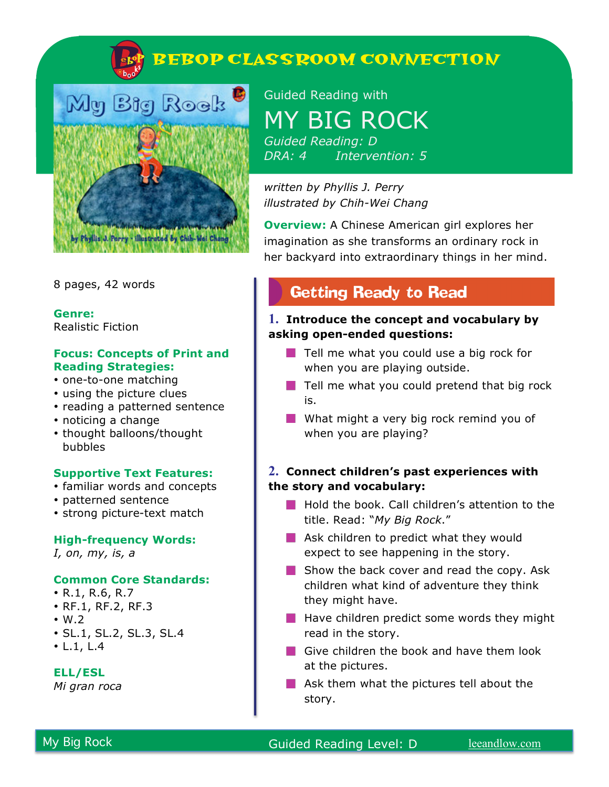



8 pages, 42 words

**Genre:**  Realistic Fiction

### **Focus: Concepts of Print and Reading Strategies:**

- one-to-one matching
- using the picture clues
- reading a patterned sentence
- noticing a change
- thought balloons/thought bubbles

### **Supportive Text Features:**

- familiar words and concepts
- patterned sentence
- strong picture-text match

#### **High-frequency Words:**

*I, on, my, is, a*

#### **Common Core Standards:**

- R.1, R.6, R.7
- RF.1, RF.2, RF.3
- $\cdot$  W.2
- SL.1, SL.2, SL.3, SL.4
- L.1, L.4

### **ELL/ESL**

*Mi gran roca*

Guided Reading with MY BIG ROCK *Guided Reading: D DRA: 4 Intervention: 5*

*written by Phyllis J. Perry illustrated by Chih-Wei Chang*

**Overview:** A Chinese American girl explores her imagination as she transforms an ordinary rock in her backyard into extraordinary things in her mind.

# **Getting Ready to Read**

### **1. Introduce the concept and vocabulary by asking open-ended questions:**

- $\blacksquare$  Tell me what you could use a big rock for when you are playing outside.
- $\blacksquare$  Tell me what you could pretend that big rock is.
- What might a very big rock remind you of when you are playing?

## **2. Connect children's past experiences with the story and vocabulary:**

- **Hold the book. Call children's attention to the** title. Read: "*My Big Rock*."
- **Ask children to predict what they would** expect to see happening in the story.
- $\blacksquare$  Show the back cover and read the copy. Ask children what kind of adventure they think they might have.
- $\blacksquare$  Have children predict some words they might read in the story.
- Give children the book and have them look at the pictures.
- $\blacksquare$  Ask them what the pictures tell about the story.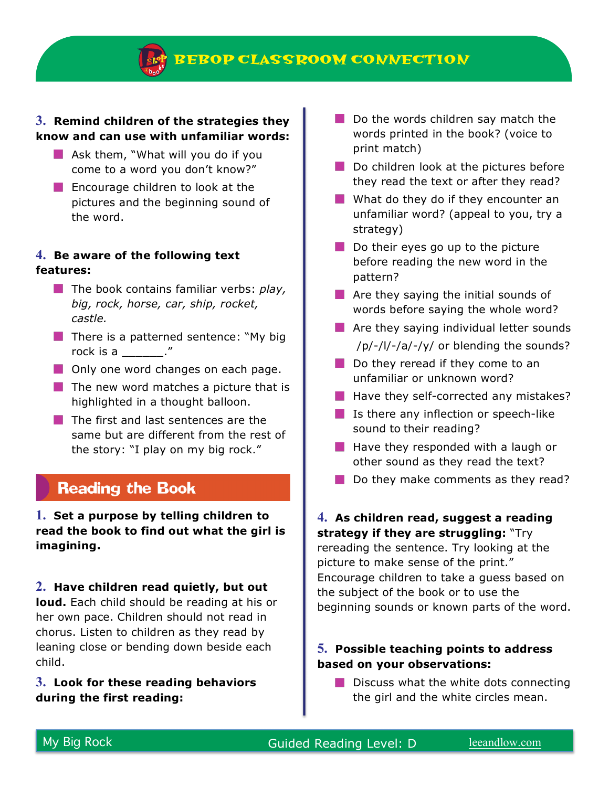**BEBOP CLASS ROOM CONNECTION** 

## **3. Remind children of the strategies they know and can use with unfamiliar words:**

- $\blacksquare$  Ask them, "What will you do if you come to a word you don't know?"
- **Encourage children to look at the** pictures and the beginning sound of the word.

### **4. Be aware of the following text features:**

- **The book contains familiar verbs: play,** *big, rock, horse, car, ship, rocket, castle.*
- $\blacksquare$  There is a patterned sentence: "My big rock is a \_\_\_\_\_\_."
- **Only one word changes on each page.**
- $\blacksquare$  The new word matches a picture that is highlighted in a thought balloon.
- $\blacksquare$  The first and last sentences are the same but are different from the rest of the story: "I play on my big rock."

# **Reading the Book**

**1. Set a purpose by telling children to read the book to find out what the girl is imagining.**

### **2. Have children read quietly, but out**

**loud.** Each child should be reading at his or her own pace. Children should not read in chorus. Listen to children as they read by leaning close or bending down beside each child.

## **3. Look for these reading behaviors during the first reading:**

- $\Box$  Do the words children say match the words printed in the book? (voice to print match)
- Do children look at the pictures before they read the text or after they read?
- What do they do if they encounter an unfamiliar word? (appeal to you, try a strategy)
- $\blacksquare$  Do their eyes go up to the picture before reading the new word in the pattern?
- $\blacksquare$  Are they saying the initial sounds of words before saying the whole word?
- **Are they saying individual letter sounds** /p/-/l/-/a/-/y/ or blending the sounds?
- Do they reread if they come to an unfamiliar or unknown word?
- $\blacksquare$  Have they self-corrected any mistakes?
- $\blacksquare$  Is there any inflection or speech-like sound to their reading?
- $\blacksquare$  Have they responded with a laugh or other sound as they read the text?
- $\blacksquare$  Do they make comments as they read?

## **4. As children read, suggest a reading strategy if they are struggling:** "Try

rereading the sentence. Try looking at the picture to make sense of the print." Encourage children to take a guess based on the subject of the book or to use the beginning sounds or known parts of the word.

## **5. Possible teaching points to address based on your observations:**

 $\blacksquare$  Discuss what the white dots connecting the girl and the white circles mean.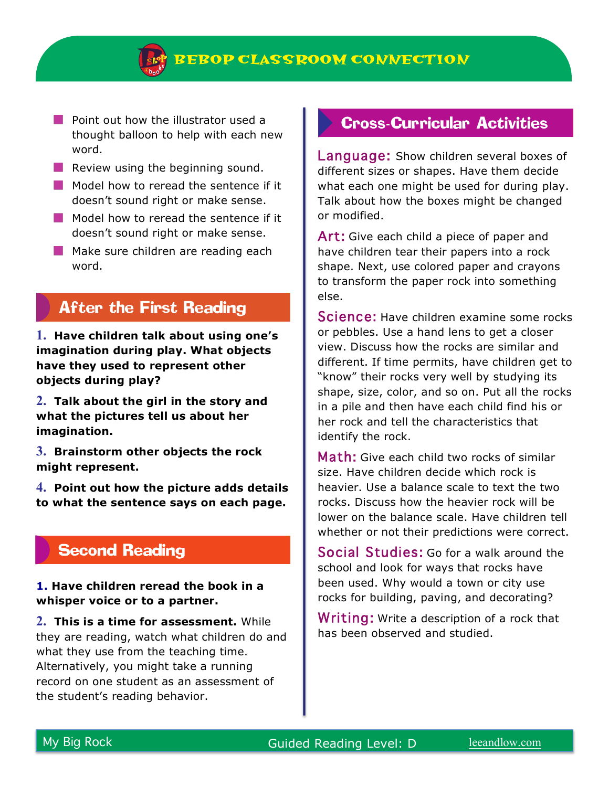

- **Point out how the illustrator used a** thought balloon to help with each new word.
- $\blacksquare$  Review using the beginning sound.
- $\blacksquare$  Model how to reread the sentence if it doesn't sound right or make sense.
- Model how to reread the sentence if it doesn't sound right or make sense.
- $\blacksquare$  Make sure children are reading each word.

# **After the First Reading**

**1. Have children talk about using one's imagination during play. What objects have they used to represent other objects during play?**

**2. Talk about the girl in the story and what the pictures tell us about her imagination.** 

**3. Brainstorm other objects the rock might represent.** 

**4. Point out how the picture adds details to what the sentence says on each page.**

# **Second Reading**

**1. Have children reread the book in a whisper voice or to a partner.**

**2. This is a time for assessment.** While they are reading, watch what children do and what they use from the teaching time. Alternatively, you might take a running record on one student as an assessment of the student's reading behavior.

## **Cross-Curricular Activities**

Language: Show children several boxes of different sizes or shapes. Have them decide what each one might be used for during play. Talk about how the boxes might be changed or modified.

Art: Give each child a piece of paper and have children tear their papers into a rock shape. Next, use colored paper and crayons to transform the paper rock into something else.

Science: Have children examine some rocks or pebbles. Use a hand lens to get a closer view. Discuss how the rocks are similar and different. If time permits, have children get to "know" their rocks very well by studying its shape, size, color, and so on. Put all the rocks in a pile and then have each child find his or her rock and tell the characteristics that identify the rock.

Math: Give each child two rocks of similar size. Have children decide which rock is heavier. Use a balance scale to text the two rocks. Discuss how the heavier rock will be lower on the balance scale. Have children tell whether or not their predictions were correct.

Social Studies: Go for a walk around the school and look for ways that rocks have been used. Why would a town or city use rocks for building, paving, and decorating?

Writing: Write a description of a rock that has been observed and studied.